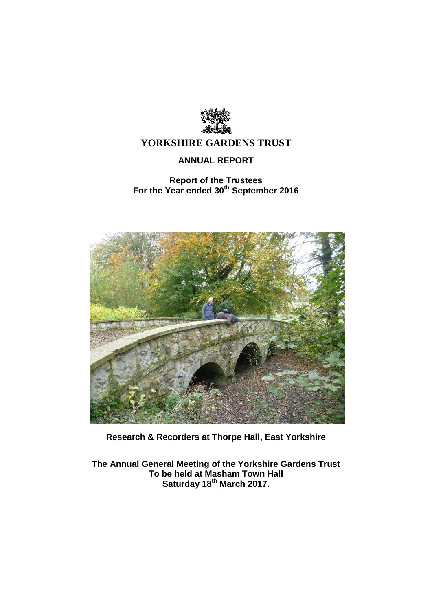

# **ANNUAL REPORT**

# **Report of the Trustees For the Year ended 30th September 2016**



**Research & Recorders at Thorpe Hall, East Yorkshire**

**The Annual General Meeting of the Yorkshire Gardens Trust To be held at Masham Town Hall Saturday 18 th March 2017.**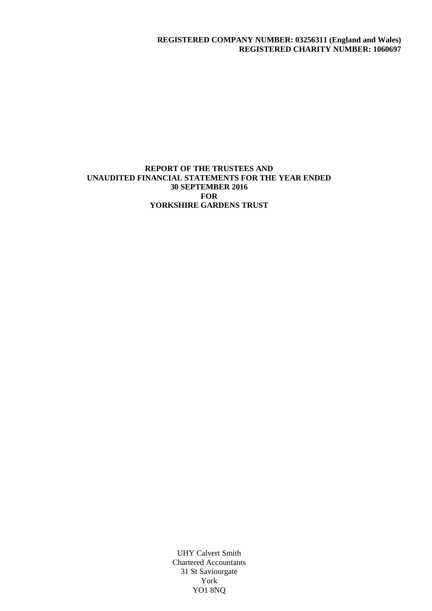### **REGISTERED COMPANY NUMBER: 03256311 (England and Wales) REGISTERED CHARITY NUMBER: 1060697**

### **REPORT OF THE TRUSTEES AND UNAUDITED FINANCIAL STATEMENTS FOR THE YEAR ENDED 30 SEPTEMBER 2016 FOR YORKSHIRE GARDENS TRUST**

UHY Calvert Smith Chartered Accountants 31 St Saviourgate York YO1 8NQ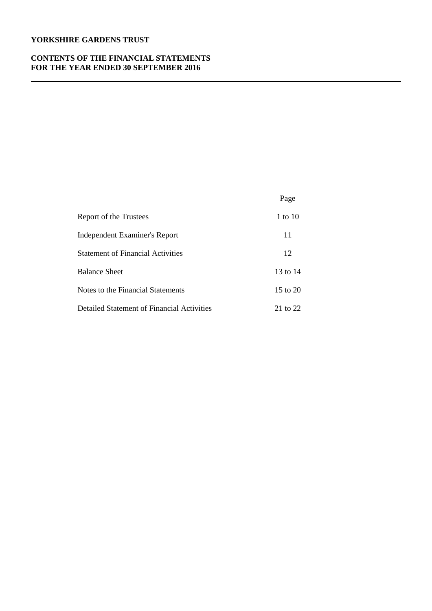### **CONTENTS OF THE FINANCIAL STATEMENTS FOR THE YEAR ENDED 30 SEPTEMBER 2016**

|                                            | Page         |
|--------------------------------------------|--------------|
| Report of the Trustees                     | 1 to $10$    |
| Independent Examiner's Report              | 11           |
| <b>Statement of Financial Activities</b>   | 12           |
| <b>Balance Sheet</b>                       | 13 to 14     |
| Notes to the Financial Statements          | $15$ to $20$ |
| Detailed Statement of Financial Activities | 21 to 22     |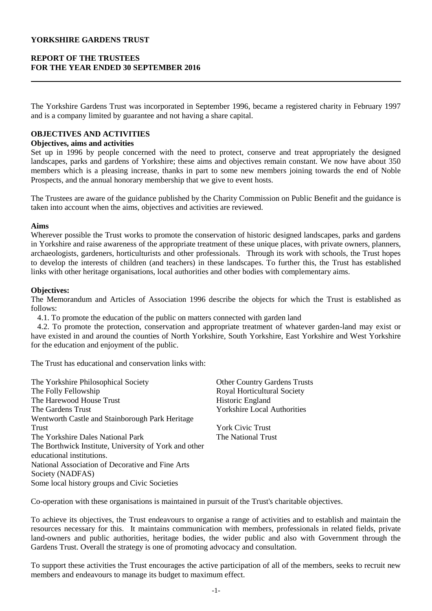### **REPORT OF THE TRUSTEES FOR THE YEAR ENDED 30 SEPTEMBER 2016**

The Yorkshire Gardens Trust was incorporated in September 1996, became a registered charity in February 1997 and is a company limited by guarantee and not having a share capital.

# **OBJECTIVES AND ACTIVITIES**

#### **Objectives, aims and activities**

Set up in 1996 by people concerned with the need to protect, conserve and treat appropriately the designed landscapes, parks and gardens of Yorkshire; these aims and objectives remain constant. We now have about 350 members which is a pleasing increase, thanks in part to some new members joining towards the end of Noble Prospects, and the annual honorary membership that we give to event hosts.

The Trustees are aware of the guidance published by the Charity Commission on Public Benefit and the guidance is taken into account when the aims, objectives and activities are reviewed.

#### **Aims**

Wherever possible the Trust works to promote the conservation of historic designed landscapes, parks and gardens in Yorkshire and raise awareness of the appropriate treatment of these unique places, with private owners, planners, archaeologists, gardeners, horticulturists and other professionals. Through its work with schools, the Trust hopes to develop the interests of children (and teachers) in these landscapes. To further this, the Trust has established links with other heritage organisations, local authorities and other bodies with complementary aims.

#### **Objectives:**

The Memorandum and Articles of Association 1996 describe the objects for which the Trust is established as follows:

4.1. To promote the education of the public on matters connected with garden land

 4.2. To promote the protection, conservation and appropriate treatment of whatever garden-land may exist or have existed in and around the counties of North Yorkshire, South Yorkshire, East Yorkshire and West Yorkshire for the education and enjoyment of the public.

The Trust has educational and conservation links with:

| The Yorkshire Philosophical Society                   | <b>Other Country Gardens Trusts</b> |
|-------------------------------------------------------|-------------------------------------|
| The Folly Fellowship                                  | Royal Horticultural Society         |
| The Harewood House Trust                              | Historic England                    |
| The Gardens Trust                                     | <b>Yorkshire Local Authorities</b>  |
| Wentworth Castle and Stainborough Park Heritage       |                                     |
| Trust                                                 | <b>York Civic Trust</b>             |
| The Yorkshire Dales National Park                     | The National Trust                  |
| The Borthwick Institute, University of York and other |                                     |
| educational institutions.                             |                                     |
| National Association of Decorative and Fine Arts      |                                     |
| Society (NADFAS)                                      |                                     |
| Some local history groups and Civic Societies         |                                     |

Co-operation with these organisations is maintained in pursuit of the Trust's charitable objectives.

To achieve its objectives, the Trust endeavours to organise a range of activities and to establish and maintain the resources necessary for this. It maintains communication with members, professionals in related fields, private land-owners and public authorities, heritage bodies, the wider public and also with Government through the Gardens Trust. Overall the strategy is one of promoting advocacy and consultation.

To support these activities the Trust encourages the active participation of all of the members, seeks to recruit new members and endeavours to manage its budget to maximum effect.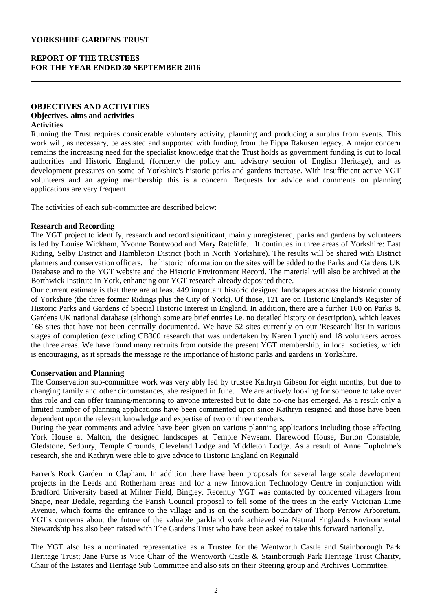### **REPORT OF THE TRUSTEES FOR THE YEAR ENDED 30 SEPTEMBER 2016**

### **OBJECTIVES AND ACTIVITIES Objectives, aims and activities Activities**

Running the Trust requires considerable voluntary activity, planning and producing a surplus from events. This work will, as necessary, be assisted and supported with funding from the Pippa Rakusen legacy. A major concern remains the increasing need for the specialist knowledge that the Trust holds as government funding is cut to local authorities and Historic England, (formerly the policy and advisory section of English Heritage), and as development pressures on some of Yorkshire's historic parks and gardens increase. With insufficient active YGT volunteers and an ageing membership this is a concern. Requests for advice and comments on planning applications are very frequent.

The activities of each sub-committee are described below:

#### **Research and Recording**

The YGT project to identify, research and record significant, mainly unregistered, parks and gardens by volunteers is led by Louise Wickham, Yvonne Boutwood and Mary Ratcliffe. It continues in three areas of Yorkshire: East Riding, Selby District and Hambleton District (both in North Yorkshire). The results will be shared with District planners and conservation officers. The historic information on the sites will be added to the Parks and Gardens UK Database and to the YGT website and the Historic Environment Record. The material will also be archived at the Borthwick Institute in York, enhancing our YGT research already deposited there.

Our current estimate is that there are at least 449 important historic designed landscapes across the historic county of Yorkshire (the three former Ridings plus the City of York). Of those, 121 are on Historic England's Register of Historic Parks and Gardens of Special Historic Interest in England. In addition, there are a further 160 on Parks & Gardens UK national database (although some are brief entries i.e. no detailed history or description), which leaves 168 sites that have not been centrally documented. We have 52 sites currently on our 'Research' list in various stages of completion (excluding CB300 research that was undertaken by Karen Lynch) and 18 volunteers across the three areas. We have found many recruits from outside the present YGT membership, in local societies, which is encouraging, as it spreads the message re the importance of historic parks and gardens in Yorkshire.

#### **Conservation and Planning**

The Conservation sub-committee work was very ably led by trustee Kathryn Gibson for eight months, but due to changing family and other circumstances, she resigned in June. We are actively looking for someone to take over this role and can offer training/mentoring to anyone interested but to date no-one has emerged. As a result only a limited number of planning applications have been commented upon since Kathryn resigned and those have been dependent upon the relevant knowledge and expertise of two or three members.

During the year comments and advice have been given on various planning applications including those affecting York House at Malton, the designed landscapes at Temple Newsam, Harewood House, Burton Constable, Gledstone, Sedbury, Temple Grounds, Cleveland Lodge and Middleton Lodge. As a result of Anne Tupholme's research, she and Kathryn were able to give advice to Historic England on Reginald

Farrer's Rock Garden in Clapham. In addition there have been proposals for several large scale development projects in the Leeds and Rotherham areas and for a new Innovation Technology Centre in conjunction with Bradford University based at Milner Field, Bingley. Recently YGT was contacted by concerned villagers from Snape, near Bedale, regarding the Parish Council proposal to fell some of the trees in the early Victorian Lime Avenue, which forms the entrance to the village and is on the southern boundary of Thorp Perrow Arboretum. YGT's concerns about the future of the valuable parkland work achieved via Natural England's Environmental Stewardship has also been raised with The Gardens Trust who have been asked to take this forward nationally.

The YGT also has a nominated representative as a Trustee for the Wentworth Castle and Stainborough Park Heritage Trust; Jane Furse is Vice Chair of the Wentworth Castle & Stainborough Park Heritage Trust Charity, Chair of the Estates and Heritage Sub Committee and also sits on their Steering group and Archives Committee.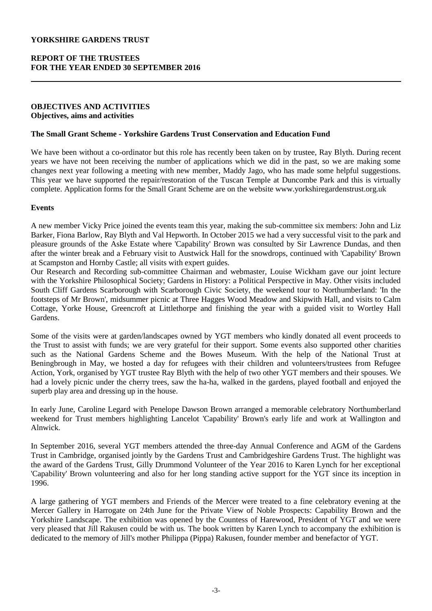### **REPORT OF THE TRUSTEES FOR THE YEAR ENDED 30 SEPTEMBER 2016**

#### **OBJECTIVES AND ACTIVITIES Objectives, aims and activities**

#### **The Small Grant Scheme - Yorkshire Gardens Trust Conservation and Education Fund**

We have been without a co-ordinator but this role has recently been taken on by trustee, Ray Blyth. During recent years we have not been receiving the number of applications which we did in the past, so we are making some changes next year following a meeting with new member, Maddy Jago, who has made some helpful suggestions. This year we have supported the repair/restoration of the Tuscan Temple at Duncombe Park and this is virtually complete. Application forms for the Small Grant Scheme are on the website www.yorkshiregardenstrust.org.uk

#### **Events**

A new member Vicky Price joined the events team this year, making the sub-committee six members: John and Liz Barker, Fiona Barlow, Ray Blyth and Val Hepworth. In October 2015 we had a very successful visit to the park and pleasure grounds of the Aske Estate where 'Capability' Brown was consulted by Sir Lawrence Dundas, and then after the winter break and a February visit to Austwick Hall for the snowdrops, continued with 'Capability' Brown at Scampston and Hornby Castle; all visits with expert guides.

Our Research and Recording sub-committee Chairman and webmaster, Louise Wickham gave our joint lecture with the Yorkshire Philosophical Society; Gardens in History: a Political Perspective in May. Other visits included South Cliff Gardens Scarborough with Scarborough Civic Society, the weekend tour to Northumberland: 'In the footsteps of Mr Brown', midsummer picnic at Three Hagges Wood Meadow and Skipwith Hall, and visits to Calm Cottage, Yorke House, Greencroft at Littlethorpe and finishing the year with a guided visit to Wortley Hall Gardens.

Some of the visits were at garden/landscapes owned by YGT members who kindly donated all event proceeds to the Trust to assist with funds; we are very grateful for their support. Some events also supported other charities such as the National Gardens Scheme and the Bowes Museum. With the help of the National Trust at Beningbrough in May, we hosted a day for refugees with their children and volunteers/trustees from Refugee Action, York, organised by YGT trustee Ray Blyth with the help of two other YGT members and their spouses. We had a lovely picnic under the cherry trees, saw the ha-ha, walked in the gardens, played football and enjoyed the superb play area and dressing up in the house.

In early June, Caroline Legard with Penelope Dawson Brown arranged a memorable celebratory Northumberland weekend for Trust members highlighting Lancelot 'Capability' Brown's early life and work at Wallington and Alnwick.

In September 2016, several YGT members attended the three-day Annual Conference and AGM of the Gardens Trust in Cambridge, organised jointly by the Gardens Trust and Cambridgeshire Gardens Trust. The highlight was the award of the Gardens Trust, Gilly Drummond Volunteer of the Year 2016 to Karen Lynch for her exceptional 'Capability' Brown volunteering and also for her long standing active support for the YGT since its inception in 1996.

A large gathering of YGT members and Friends of the Mercer were treated to a fine celebratory evening at the Mercer Gallery in Harrogate on 24th June for the Private View of Noble Prospects: Capability Brown and the Yorkshire Landscape. The exhibition was opened by the Countess of Harewood, President of YGT and we were very pleased that Jill Rakusen could be with us. The book written by Karen Lynch to accompany the exhibition is dedicated to the memory of Jill's mother Philippa (Pippa) Rakusen, founder member and benefactor of YGT.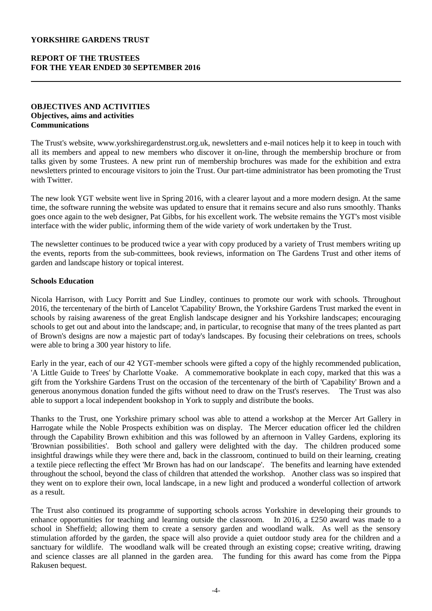### **REPORT OF THE TRUSTEES FOR THE YEAR ENDED 30 SEPTEMBER 2016**

#### **OBJECTIVES AND ACTIVITIES Objectives, aims and activities Communications**

The Trust's website, www.yorkshiregardenstrust.org.uk, newsletters and e-mail notices help it to keep in touch with all its members and appeal to new members who discover it on-line, through the membership brochure or from talks given by some Trustees. A new print run of membership brochures was made for the exhibition and extra newsletters printed to encourage visitors to join the Trust. Our part-time administrator has been promoting the Trust with Twitter.

The new look YGT website went live in Spring 2016, with a clearer layout and a more modern design. At the same time, the software running the website was updated to ensure that it remains secure and also runs smoothly. Thanks goes once again to the web designer, Pat Gibbs, for his excellent work. The website remains the YGT's most visible interface with the wider public, informing them of the wide variety of work undertaken by the Trust.

The newsletter continues to be produced twice a year with copy produced by a variety of Trust members writing up the events, reports from the sub-committees, book reviews, information on The Gardens Trust and other items of garden and landscape history or topical interest.

### **Schools Education**

Nicola Harrison, with Lucy Porritt and Sue Lindley, continues to promote our work with schools. Throughout 2016, the tercentenary of the birth of Lancelot 'Capability' Brown, the Yorkshire Gardens Trust marked the event in schools by raising awareness of the great English landscape designer and his Yorkshire landscapes; encouraging schools to get out and about into the landscape; and, in particular, to recognise that many of the trees planted as part of Brown's designs are now a majestic part of today's landscapes. By focusing their celebrations on trees, schools were able to bring a 300 year history to life.

Early in the year, each of our 42 YGT-member schools were gifted a copy of the highly recommended publication, 'A Little Guide to Trees' by Charlotte Voake. A commemorative bookplate in each copy, marked that this was a gift from the Yorkshire Gardens Trust on the occasion of the tercentenary of the birth of 'Capability' Brown and a generous anonymous donation funded the gifts without need to draw on the Trust's reserves. The Trust was also able to support a local independent bookshop in York to supply and distribute the books.

Thanks to the Trust, one Yorkshire primary school was able to attend a workshop at the Mercer Art Gallery in Harrogate while the Noble Prospects exhibition was on display. The Mercer education officer led the children through the Capability Brown exhibition and this was followed by an afternoon in Valley Gardens, exploring its 'Brownian possibilities'. Both school and gallery were delighted with the day. The children produced some insightful drawings while they were there and, back in the classroom, continued to build on their learning, creating a textile piece reflecting the effect 'Mr Brown has had on our landscape'. The benefits and learning have extended throughout the school, beyond the class of children that attended the workshop. Another class was so inspired that they went on to explore their own, local landscape, in a new light and produced a wonderful collection of artwork as a result.

The Trust also continued its programme of supporting schools across Yorkshire in developing their grounds to enhance opportunities for teaching and learning outside the classroom. In 2016, a £250 award was made to a school in Sheffield; allowing them to create a sensory garden and woodland walk. As well as the sensory stimulation afforded by the garden, the space will also provide a quiet outdoor study area for the children and a sanctuary for wildlife. The woodland walk will be created through an existing copse; creative writing, drawing and science classes are all planned in the garden area. The funding for this award has come from the Pippa Rakusen bequest.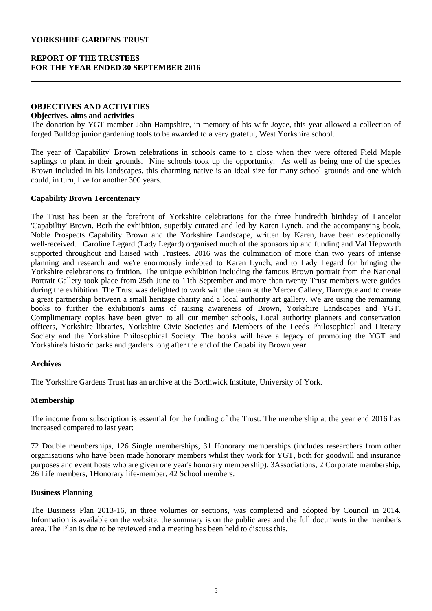### **REPORT OF THE TRUSTEES FOR THE YEAR ENDED 30 SEPTEMBER 2016**

### **OBJECTIVES AND ACTIVITIES**

#### **Objectives, aims and activities**

The donation by YGT member John Hampshire, in memory of his wife Joyce, this year allowed a collection of forged Bulldog junior gardening tools to be awarded to a very grateful, West Yorkshire school.

The year of 'Capability' Brown celebrations in schools came to a close when they were offered Field Maple saplings to plant in their grounds. Nine schools took up the opportunity. As well as being one of the species Brown included in his landscapes, this charming native is an ideal size for many school grounds and one which could, in turn, live for another 300 years.

#### **Capability Brown Tercentenary**

The Trust has been at the forefront of Yorkshire celebrations for the three hundredth birthday of Lancelot 'Capability' Brown. Both the exhibition, superbly curated and led by Karen Lynch, and the accompanying book, Noble Prospects Capability Brown and the Yorkshire Landscape, written by Karen, have been exceptionally well-received. Caroline Legard (Lady Legard) organised much of the sponsorship and funding and Val Hepworth supported throughout and liaised with Trustees. 2016 was the culmination of more than two years of intense planning and research and we're enormously indebted to Karen Lynch, and to Lady Legard for bringing the Yorkshire celebrations to fruition. The unique exhibition including the famous Brown portrait from the National Portrait Gallery took place from 25th June to 11th September and more than twenty Trust members were guides during the exhibition. The Trust was delighted to work with the team at the Mercer Gallery, Harrogate and to create a great partnership between a small heritage charity and a local authority art gallery. We are using the remaining books to further the exhibition's aims of raising awareness of Brown, Yorkshire Landscapes and YGT. Complimentary copies have been given to all our member schools, Local authority planners and conservation officers, Yorkshire libraries, Yorkshire Civic Societies and Members of the Leeds Philosophical and Literary Society and the Yorkshire Philosophical Society. The books will have a legacy of promoting the YGT and Yorkshire's historic parks and gardens long after the end of the Capability Brown year.

### **Archives**

The Yorkshire Gardens Trust has an archive at the Borthwick Institute, University of York.

### **Membership**

The income from subscription is essential for the funding of the Trust. The membership at the year end 2016 has increased compared to last year:

72 Double memberships, 126 Single memberships, 31 Honorary memberships (includes researchers from other organisations who have been made honorary members whilst they work for YGT, both for goodwill and insurance purposes and event hosts who are given one year's honorary membership), 3Associations, 2 Corporate membership, 26 Life members, 1Honorary life-member, 42 School members.

#### **Business Planning**

The Business Plan 2013-16, in three volumes or sections, was completed and adopted by Council in 2014. Information is available on the website; the summary is on the public area and the full documents in the member's area. The Plan is due to be reviewed and a meeting has been held to discuss this.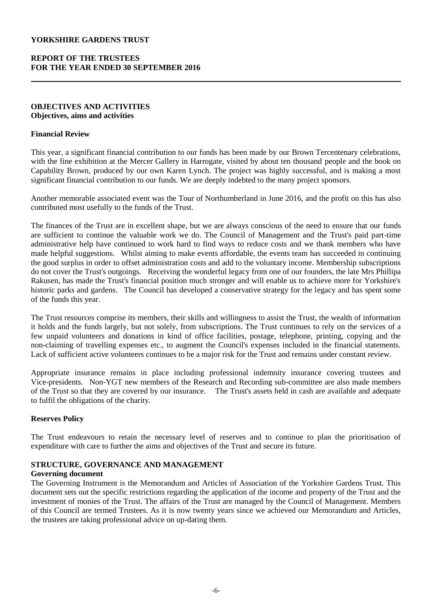### **REPORT OF THE TRUSTEES FOR THE YEAR ENDED 30 SEPTEMBER 2016**

#### **OBJECTIVES AND ACTIVITIES Objectives, aims and activities**

#### **Financial Review**

This year, a significant financial contribution to our funds has been made by our Brown Tercentenary celebrations, with the fine exhibition at the Mercer Gallery in Harrogate, visited by about ten thousand people and the book on Capability Brown, produced by our own Karen Lynch. The project was highly successful, and is making a most significant financial contribution to our funds. We are deeply indebted to the many project sponsors.

Another memorable associated event was the Tour of Northumberland in June 2016, and the profit on this has also contributed most usefully to the funds of the Trust.

The finances of the Trust are in excellent shape, but we are always conscious of the need to ensure that our funds are sufficient to continue the valuable work we do. The Council of Management and the Trust's paid part-time administrative help have continued to work hard to find ways to reduce costs and we thank members who have made helpful suggestions. Whilst aiming to make events affordable, the events team has succeeded in continuing the good surplus in order to offset administration costs and add to the voluntary income. Membership subscriptions do not cover the Trust's outgoings. Receiving the wonderful legacy from one of our founders, the late Mrs Phillipa Rakusen, has made the Trust's financial position much stronger and will enable us to achieve more for Yorkshire's historic parks and gardens. The Council has developed a conservative strategy for the legacy and has spent some of the funds this year.

The Trust resources comprise its members, their skills and willingness to assist the Trust, the wealth of information it holds and the funds largely, but not solely, from subscriptions. The Trust continues to rely on the services of a few unpaid volunteers and donations in kind of office facilities, postage, telephone, printing, copying and the non-claiming of travelling expenses etc., to augment the Council's expenses included in the financial statements. Lack of sufficient active volunteers continues to be a major risk for the Trust and remains under constant review.

Appropriate insurance remains in place including professional indemnity insurance covering trustees and Vice-presidents. Non-YGT new members of the Research and Recording sub-committee are also made members of the Trust so that they are covered by our insurance. The Trust's assets held in cash are available and adequate to fulfil the obligations of the charity.

### **Reserves Policy**

The Trust endeavours to retain the necessary level of reserves and to continue to plan the prioritisation of expenditure with care to further the aims and objectives of the Trust and secure its future.

### **STRUCTURE, GOVERNANCE AND MANAGEMENT**

#### **Governing document**

The Governing Instrument is the Memorandum and Articles of Association of the Yorkshire Gardens Trust. This document sets out the specific restrictions regarding the application of the income and property of the Trust and the investment of monies of the Trust. The affairs of the Trust are managed by the Council of Management. Members of this Council are termed Trustees. As it is now twenty years since we achieved our Memorandum and Articles, the trustees are taking professional advice on up-dating them.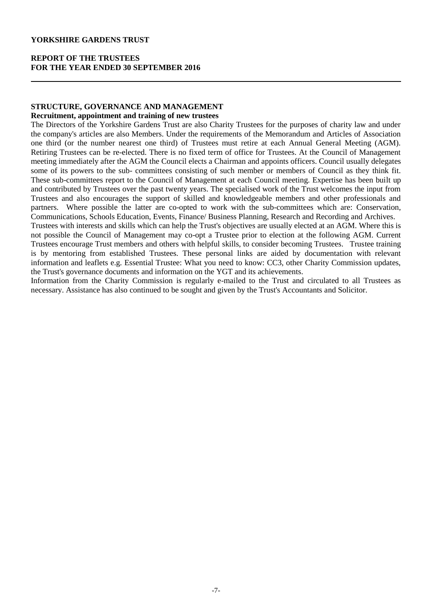### **REPORT OF THE TRUSTEES FOR THE YEAR ENDED 30 SEPTEMBER 2016**

### **STRUCTURE, GOVERNANCE AND MANAGEMENT**

#### **Recruitment, appointment and training of new trustees**

The Directors of the Yorkshire Gardens Trust are also Charity Trustees for the purposes of charity law and under the company's articles are also Members. Under the requirements of the Memorandum and Articles of Association one third (or the number nearest one third) of Trustees must retire at each Annual General Meeting (AGM). Retiring Trustees can be re-elected. There is no fixed term of office for Trustees. At the Council of Management meeting immediately after the AGM the Council elects a Chairman and appoints officers. Council usually delegates some of its powers to the sub- committees consisting of such member or members of Council as they think fit. These sub-committees report to the Council of Management at each Council meeting. Expertise has been built up and contributed by Trustees over the past twenty years. The specialised work of the Trust welcomes the input from Trustees and also encourages the support of skilled and knowledgeable members and other professionals and partners. Where possible the latter are co-opted to work with the sub-committees which are: Conservation, Communications, Schools Education, Events, Finance/ Business Planning, Research and Recording and Archives.

Trustees with interests and skills which can help the Trust's objectives are usually elected at an AGM. Where this is not possible the Council of Management may co-opt a Trustee prior to election at the following AGM. Current Trustees encourage Trust members and others with helpful skills, to consider becoming Trustees. Trustee training is by mentoring from established Trustees. These personal links are aided by documentation with relevant information and leaflets e.g. Essential Trustee: What you need to know: CC3, other Charity Commission updates, the Trust's governance documents and information on the YGT and its achievements.

Information from the Charity Commission is regularly e-mailed to the Trust and circulated to all Trustees as necessary. Assistance has also continued to be sought and given by the Trust's Accountants and Solicitor.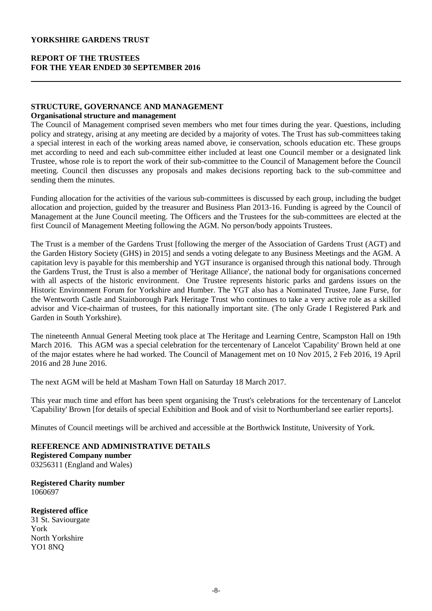### **REPORT OF THE TRUSTEES FOR THE YEAR ENDED 30 SEPTEMBER 2016**

# **STRUCTURE, GOVERNANCE AND MANAGEMENT**

#### **Organisational structure and management**

The Council of Management comprised seven members who met four times during the year. Questions, including policy and strategy, arising at any meeting are decided by a majority of votes. The Trust has sub-committees taking a special interest in each of the working areas named above, ie conservation, schools education etc. These groups met according to need and each sub-committee either included at least one Council member or a designated link Trustee, whose role is to report the work of their sub-committee to the Council of Management before the Council meeting. Council then discusses any proposals and makes decisions reporting back to the sub-committee and sending them the minutes.

Funding allocation for the activities of the various sub-committees is discussed by each group, including the budget allocation and projection, guided by the treasurer and Business Plan 2013-16. Funding is agreed by the Council of Management at the June Council meeting. The Officers and the Trustees for the sub-committees are elected at the first Council of Management Meeting following the AGM. No person/body appoints Trustees.

The Trust is a member of the Gardens Trust [following the merger of the Association of Gardens Trust (AGT) and the Garden History Society (GHS) in 2015] and sends a voting delegate to any Business Meetings and the AGM. A capitation levy is payable for this membership and YGT insurance is organised through this national body. Through the Gardens Trust, the Trust is also a member of 'Heritage Alliance', the national body for organisations concerned with all aspects of the historic environment. One Trustee represents historic parks and gardens issues on the Historic Environment Forum for Yorkshire and Humber. The YGT also has a Nominated Trustee, Jane Furse, for the Wentworth Castle and Stainborough Park Heritage Trust who continues to take a very active role as a skilled advisor and Vice-chairman of trustees, for this nationally important site. (The only Grade I Registered Park and Garden in South Yorkshire).

The nineteenth Annual General Meeting took place at The Heritage and Learning Centre, Scampston Hall on 19th March 2016. This AGM was a special celebration for the tercentenary of Lancelot 'Capability' Brown held at one of the major estates where he had worked. The Council of Management met on 10 Nov 2015, 2 Feb 2016, 19 April 2016 and 28 June 2016.

The next AGM will be held at Masham Town Hall on Saturday 18 March 2017.

This year much time and effort has been spent organising the Trust's celebrations for the tercentenary of Lancelot 'Capability' Brown [for details of special Exhibition and Book and of visit to Northumberland see earlier reports].

Minutes of Council meetings will be archived and accessible at the Borthwick Institute, University of York.

**REFERENCE AND ADMINISTRATIVE DETAILS Registered Company number**

03256311 (England and Wales)

**Registered Charity number** 1060697

**Registered office**

31 St. Saviourgate York North Yorkshire YO1 8NQ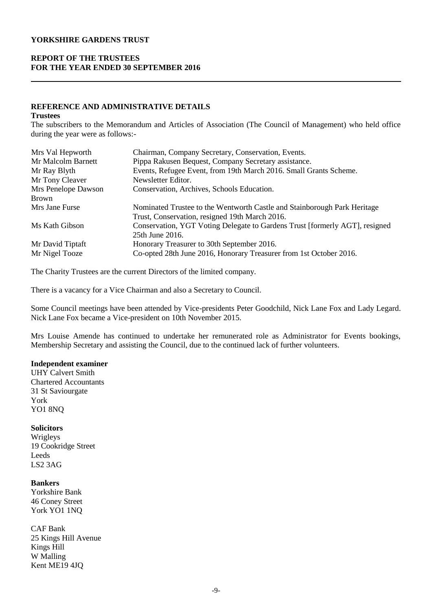### **REPORT OF THE TRUSTEES FOR THE YEAR ENDED 30 SEPTEMBER 2016**

### **REFERENCE AND ADMINISTRATIVE DETAILS**

#### **Trustees**

The subscribers to the Memorandum and Articles of Association (The Council of Management) who held office during the year were as follows:-

| Mrs Val Hepworth    | Chairman, Company Secretary, Conservation, Events.                          |
|---------------------|-----------------------------------------------------------------------------|
| Mr Malcolm Barnett  | Pippa Rakusen Bequest, Company Secretary assistance.                        |
| Mr Ray Blyth        | Events, Refugee Event, from 19th March 2016. Small Grants Scheme.           |
| Mr Tony Cleaver     | Newsletter Editor.                                                          |
| Mrs Penelope Dawson | Conservation, Archives, Schools Education.                                  |
| Brown               |                                                                             |
| Mrs Jane Furse      | Nominated Trustee to the Wentworth Castle and Stainborough Park Heritage    |
|                     | Trust, Conservation, resigned 19th March 2016.                              |
| Ms Kath Gibson      | Conservation, YGT Voting Delegate to Gardens Trust [formerly AGT], resigned |
|                     | 25th June 2016.                                                             |
| Mr David Tiptaft    | Honorary Treasurer to 30th September 2016.                                  |
| Mr Nigel Tooze      | Co-opted 28th June 2016, Honorary Treasurer from 1st October 2016.          |

The Charity Trustees are the current Directors of the limited company.

There is a vacancy for a Vice Chairman and also a Secretary to Council.

Some Council meetings have been attended by Vice-presidents Peter Goodchild, Nick Lane Fox and Lady Legard. Nick Lane Fox became a Vice-president on 10th November 2015.

Mrs Louise Amende has continued to undertake her remunerated role as Administrator for Events bookings, Membership Secretary and assisting the Council, due to the continued lack of further volunteers.

### **Independent examiner**

UHY Calvert Smith Chartered Accountants 31 St Saviourgate York YO1 8NQ

#### **Solicitors**

Wrigleys 19 Cookridge Street Leeds LS2 3AG

### **Bankers**

Yorkshire Bank 46 Coney Street York YO1 1NQ

CAF Bank 25 Kings Hill Avenue Kings Hill W Malling Kent ME19 4JQ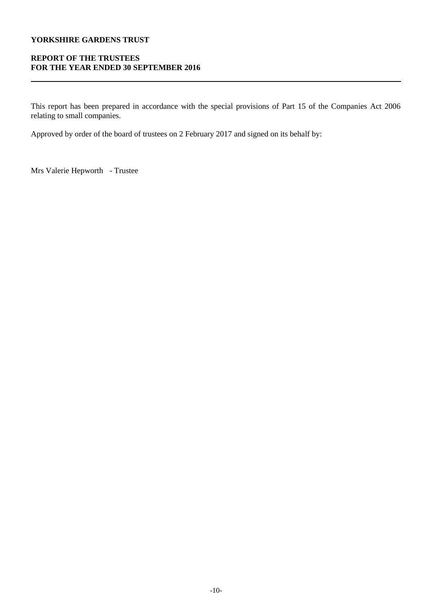## **REPORT OF THE TRUSTEES FOR THE YEAR ENDED 30 SEPTEMBER 2016**

This report has been prepared in accordance with the special provisions of Part 15 of the Companies Act 2006 relating to small companies.

Approved by order of the board of trustees on 2 February 2017 and signed on its behalf by:

Mrs Valerie Hepworth - Trustee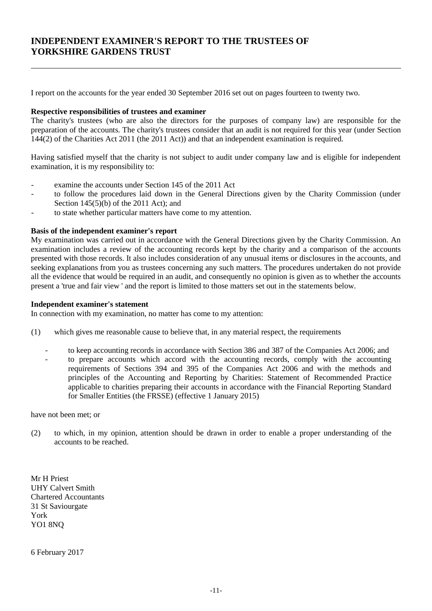# **INDEPENDENT EXAMINER'S REPORT TO THE TRUSTEES OF YORKSHIRE GARDENS TRUST**

I report on the accounts for the year ended 30 September 2016 set out on pages fourteen to twenty two.

#### **Respective responsibilities of trustees and examiner**

The charity's trustees (who are also the directors for the purposes of company law) are responsible for the preparation of the accounts. The charity's trustees consider that an audit is not required for this year (under Section  $144(2)$  of the Charities Act 2011 (the 2011 Act)) and that an independent examination is required.

Having satisfied myself that the charity is not subject to audit under company law and is eligible for independent examination, it is my responsibility to:

- examine the accounts under Section 145 of the 2011 Act
- to follow the procedures laid down in the General Directions given by the Charity Commission (under Section  $145(5)(b)$  of the 2011 Act); and
- to state whether particular matters have come to my attention.

#### **Basis of the independent examiner's report**

My examination was carried out in accordance with the General Directions given by the Charity Commission. An examination includes a review of the accounting records kept by the charity and a comparison of the accounts presented with those records. It also includes consideration of any unusual items or disclosures in the accounts, and seeking explanations from you as trustees concerning any such matters. The procedures undertaken do not provide all the evidence that would be required in an audit, and consequently no opinion is given as to whether the accounts present a 'true and fair view ' and the report is limited to those matters set out in the statements below.

#### **Independent examiner's statement**

In connection with my examination, no matter has come to my attention:

- (1) which gives me reasonable cause to believe that, in any material respect, the requirements
	- to keep accounting records in accordance with Section 386 and 387 of the Companies Act 2006; and
	- to prepare accounts which accord with the accounting records, comply with the accounting requirements of Sections 394 and 395 of the Companies Act 2006 and with the methods and principles of the Accounting and Reporting by Charities: Statement of Recommended Practice applicable to charities preparing their accounts in accordance with the Financial Reporting Standard for Smaller Entities (the FRSSE) (effective 1 January 2015)

have not been met; or

(2) to which, in my opinion, attention should be drawn in order to enable a proper understanding of the accounts to be reached.

Mr H Priest UHY Calvert Smith Chartered Accountants 31 St Saviourgate York YO1 8NQ

6 February 2017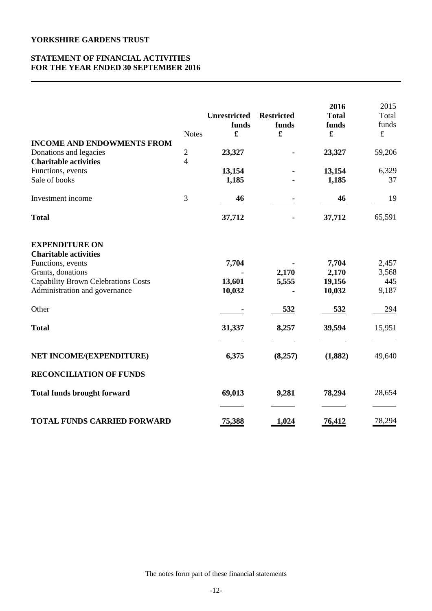### **STATEMENT OF FINANCIAL ACTIVITIES FOR THE YEAR ENDED 30 SEPTEMBER 2016**

|                                                                                                                                                                                | <b>Notes</b>      | <b>Unrestricted</b><br>funds<br>£ | <b>Restricted</b><br>funds<br>£ | 2016<br><b>Total</b><br>funds<br>£ | 2015<br>Total<br>funds<br>$\pounds$ |
|--------------------------------------------------------------------------------------------------------------------------------------------------------------------------------|-------------------|-----------------------------------|---------------------------------|------------------------------------|-------------------------------------|
| <b>INCOME AND ENDOWMENTS FROM</b><br>Donations and legacies<br><b>Charitable activities</b>                                                                                    | $\mathbf{2}$<br>4 | 23,327                            |                                 | 23,327                             | 59,206                              |
| Functions, events<br>Sale of books                                                                                                                                             |                   | 13,154<br>1,185                   |                                 | 13,154<br>1,185                    | 6,329<br>37                         |
| Investment income                                                                                                                                                              | 3                 | 46                                |                                 | 46                                 | 19                                  |
| <b>Total</b>                                                                                                                                                                   |                   | 37,712                            |                                 | 37,712                             | 65,591                              |
| <b>EXPENDITURE ON</b><br><b>Charitable activities</b><br>Functions, events<br>Grants, donations<br><b>Capability Brown Celebrations Costs</b><br>Administration and governance |                   | 7,704<br>13,601<br>10,032         | 2,170<br>5,555                  | 7,704<br>2,170<br>19,156<br>10,032 | 2,457<br>3,568<br>445<br>9,187      |
| Other                                                                                                                                                                          |                   |                                   | 532                             | 532                                | 294                                 |
| <b>Total</b>                                                                                                                                                                   |                   | 31,337                            | 8,257                           | 39,594                             | 15,951                              |
| NET INCOME/(EXPENDITURE)                                                                                                                                                       |                   | 6,375                             | (8,257)                         | (1,882)                            | 49,640                              |
| <b>RECONCILIATION OF FUNDS</b>                                                                                                                                                 |                   |                                   |                                 |                                    |                                     |
| <b>Total funds brought forward</b>                                                                                                                                             |                   | 69,013                            | 9,281                           | 78,294                             | 28,654                              |
| <b>TOTAL FUNDS CARRIED FORWARD</b>                                                                                                                                             |                   | 75,388                            | 1,024                           | 76,412                             | 78,294                              |

The notes form part of these financial statements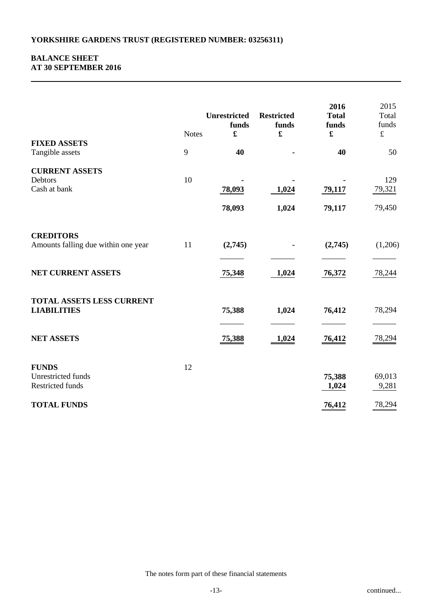### **BALANCE SHEET AT 30 SEPTEMBER 2016**

| <b>FIXED ASSETS</b>                                                           | <b>Notes</b> | <b>Unrestricted</b><br>funds<br>£ | <b>Restricted</b><br>funds<br>£ | 2016<br><b>Total</b><br>funds<br>$\pmb{\mathfrak{L}}$ | 2015<br>Total<br>funds<br>$\pounds$ |
|-------------------------------------------------------------------------------|--------------|-----------------------------------|---------------------------------|-------------------------------------------------------|-------------------------------------|
| Tangible assets                                                               | 9            | 40                                |                                 | 40                                                    | 50                                  |
| <b>CURRENT ASSETS</b><br>Debtors<br>Cash at bank                              | 10           | 78,093                            | 1,024                           | 79,117                                                | 129<br>79,321                       |
|                                                                               |              | 78,093                            | 1,024                           | 79,117                                                | 79,450                              |
| <b>CREDITORS</b><br>Amounts falling due within one year<br>NET CURRENT ASSETS | 11           | (2,745)<br>75,348                 | 1,024                           | (2,745)<br>76,372                                     | (1,206)<br>78,244                   |
| TOTAL ASSETS LESS CURRENT<br><b>LIABILITIES</b>                               |              | 75,388                            | 1,024                           | 76,412                                                | 78,294                              |
| <b>NET ASSETS</b>                                                             |              | 75,388                            | 1,024                           | <u>76,412</u>                                         | 78,294                              |
| <b>FUNDS</b><br>Unrestricted funds<br>Restricted funds                        | 12           |                                   |                                 | 75,388<br>1,024                                       | 69,013<br>9,281                     |
| <b>TOTAL FUNDS</b>                                                            |              |                                   |                                 | 76,412                                                | 78,294                              |

The notes form part of these financial statements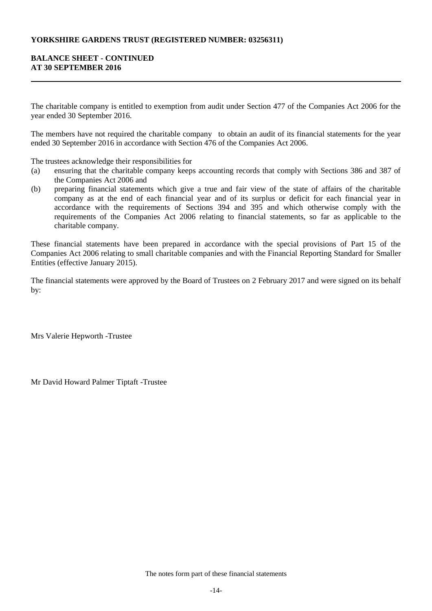### **YORKSHIRE GARDENS TRUST (REGISTERED NUMBER: 03256311)**

### **BALANCE SHEET - CONTINUED AT 30 SEPTEMBER 2016**

The charitable company is entitled to exemption from audit under Section 477 of the Companies Act 2006 for the year ended 30 September 2016.

The members have not required the charitable company to obtain an audit of its financial statements for the year ended 30 September 2016 in accordance with Section 476 of the Companies Act 2006.

The trustees acknowledge their responsibilities for

- (a) ensuring that the charitable company keeps accounting records that comply with Sections 386 and 387 of the Companies Act 2006 and
- (b) preparing financial statements which give a true and fair view of the state of affairs of the charitable company as at the end of each financial year and of its surplus or deficit for each financial year in accordance with the requirements of Sections 394 and 395 and which otherwise comply with the requirements of the Companies Act 2006 relating to financial statements, so far as applicable to the charitable company.

These financial statements have been prepared in accordance with the special provisions of Part 15 of the Companies Act 2006 relating to small charitable companies and with the Financial Reporting Standard for Smaller Entities (effective January 2015).

The financial statements were approved by the Board of Trustees on 2 February 2017 and were signed on its behalf by:

Mrs Valerie Hepworth -Trustee

Mr David Howard Palmer Tiptaft -Trustee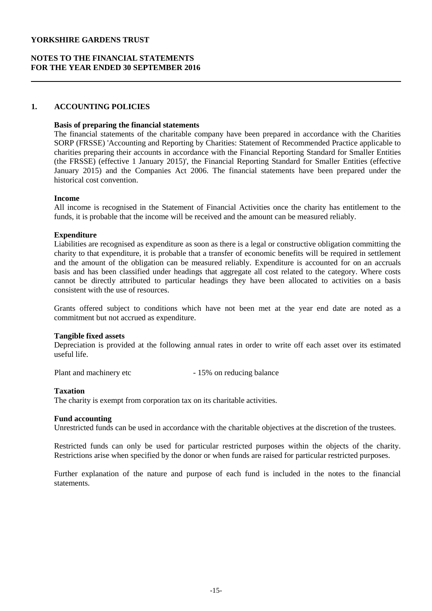### **NOTES TO THE FINANCIAL STATEMENTS FOR THE YEAR ENDED 30 SEPTEMBER 2016**

#### **1. ACCOUNTING POLICIES**

#### **Basis of preparing the financial statements**

The financial statements of the charitable company have been prepared in accordance with the Charities SORP (FRSSE) 'Accounting and Reporting by Charities: Statement of Recommended Practice applicable to charities preparing their accounts in accordance with the Financial Reporting Standard for Smaller Entities (the FRSSE) (effective 1 January 2015)', the Financial Reporting Standard for Smaller Entities (effective January 2015) and the Companies Act 2006. The financial statements have been prepared under the historical cost convention.

#### **Income**

All income is recognised in the Statement of Financial Activities once the charity has entitlement to the funds, it is probable that the income will be received and the amount can be measured reliably.

### **Expenditure**

Liabilities are recognised as expenditure as soon as there is a legal or constructive obligation committing the charity to that expenditure, it is probable that a transfer of economic benefits will be required in settlement and the amount of the obligation can be measured reliably. Expenditure is accounted for on an accruals basis and has been classified under headings that aggregate all cost related to the category. Where costs cannot be directly attributed to particular headings they have been allocated to activities on a basis consistent with the use of resources.

Grants offered subject to conditions which have not been met at the year end date are noted as a commitment but not accrued as expenditure.

#### **Tangible fixed assets**

Depreciation is provided at the following annual rates in order to write off each asset over its estimated useful life.

Plant and machinery etc - 15% on reducing balance

#### **Taxation**

The charity is exempt from corporation tax on its charitable activities.

#### **Fund accounting**

Unrestricted funds can be used in accordance with the charitable objectives at the discretion of the trustees.

Restricted funds can only be used for particular restricted purposes within the objects of the charity. Restrictions arise when specified by the donor or when funds are raised for particular restricted purposes.

Further explanation of the nature and purpose of each fund is included in the notes to the financial statements.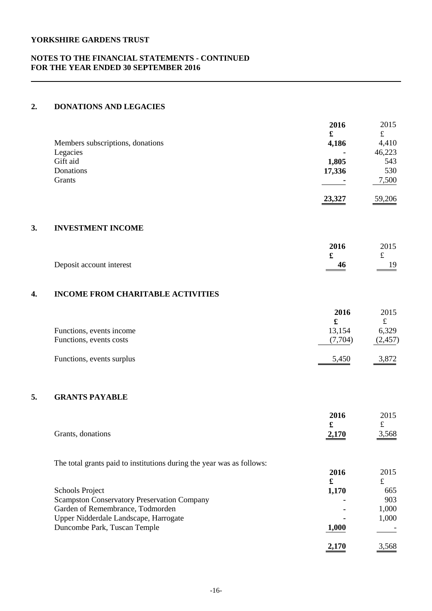### **NOTES TO THE FINANCIAL STATEMENTS - CONTINUED FOR THE YEAR ENDED 30 SEPTEMBER 2016**

### **2. DONATIONS AND LEGACIES**

|                                  | 2016          | 2015   |
|----------------------------------|---------------|--------|
|                                  | £             | £      |
| Members subscriptions, donations | 4,186         | 4,410  |
| Legacies                         | ۰             | 46,223 |
| Gift aid                         | 1,805         | 543    |
| Donations                        | 17,336        | 530    |
| Grants                           |               | 7,500  |
|                                  | <u>23,327</u> | 59,206 |

# **3. INVESTMENT INCOME**

|                          | 2016         | 2015                              |
|--------------------------|--------------|-----------------------------------|
|                          |              |                                   |
| Deposit account interest | 46<br>______ | 19<br>$\sim$ $\sim$ $\sim$ $\sim$ |
|                          |              |                                   |

## **4. INCOME FROM CHARITABLE ACTIVITIES**

|                           | 2016    | 2015     |
|---------------------------|---------|----------|
|                           |         |          |
| Functions, events income  | 13,154  | 6,329    |
| Functions, events costs   | (7.704) | (2, 457) |
| Functions, events surplus | 5,450   | 3,872    |

# **5. GRANTS PAYABLE**

| Grants, donations                                                     | 2016<br>£<br>2,170 | 2015<br>$\pounds$<br><u>3,568</u> |
|-----------------------------------------------------------------------|--------------------|-----------------------------------|
| The total grants paid to institutions during the year was as follows: |                    |                                   |
|                                                                       | 2016               | 2015                              |
|                                                                       | £                  | £                                 |
| <b>Schools Project</b>                                                | 1,170              | 665                               |
| <b>Scampston Conservatory Preservation Company</b>                    |                    | 903                               |
| Garden of Remembrance, Todmorden                                      |                    | 1,000                             |
| Upper Nidderdale Landscape, Harrogate                                 |                    | 1,000                             |
| Duncombe Park, Tuscan Temple                                          | 1,000              |                                   |
|                                                                       | 2,170              | 3,568                             |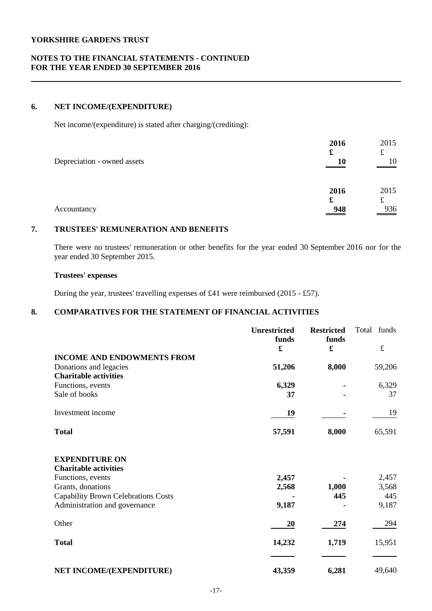### **NOTES TO THE FINANCIAL STATEMENTS - CONTINUED FOR THE YEAR ENDED 30 SEPTEMBER 2016**

### **6. NET INCOME/(EXPENDITURE)**

Net income/(expenditure) is stated after charging/(crediting):

| Depreciation - owned assets | 2016<br>£<br>10  | 2015<br>£<br>10  |
|-----------------------------|------------------|------------------|
| Accountancy                 | 2016<br>£<br>948 | 2015<br>£<br>936 |

### **7. TRUSTEES' REMUNERATION AND BENEFITS**

There were no trustees' remuneration or other benefits for the year ended 30 September 2016 nor for the year ended 30 September 2015.

### **Trustees' expenses**

During the year, trustees' travelling expenses of £41 were reimbursed (2015 - £57).

# **8. COMPARATIVES FOR THE STATEMENT OF FINANCIAL ACTIVITIES**

|                                                       | Unrestricted<br>funds<br>£ | <b>Restricted</b><br>funds<br>£ | Total funds<br>$\pounds$ |
|-------------------------------------------------------|----------------------------|---------------------------------|--------------------------|
| <b>INCOME AND ENDOWMENTS FROM</b>                     |                            |                                 |                          |
| Donations and legacies                                | 51,206                     | 8,000                           | 59,206                   |
| <b>Charitable activities</b>                          |                            |                                 |                          |
| Functions, events                                     | 6,329                      |                                 | 6,329                    |
| Sale of books                                         | 37                         |                                 | 37                       |
| Investment income                                     | 19                         |                                 | 19                       |
| <b>Total</b>                                          | 57,591                     | 8,000                           | 65,591                   |
| <b>EXPENDITURE ON</b><br><b>Charitable activities</b> |                            |                                 |                          |
| Functions, events                                     | 2,457                      |                                 | 2,457                    |
| Grants, donations                                     | 2,568                      | 1,000                           | 3,568                    |
| <b>Capability Brown Celebrations Costs</b>            |                            | 445                             | 445                      |
| Administration and governance                         | 9,187                      |                                 | 9,187                    |
| Other                                                 | 20                         | 274                             | 294                      |
| <b>Total</b>                                          | 14,232                     | 1,719                           | 15,951                   |
| NET INCOME/(EXPENDITURE)                              | 43,359                     | 6,281                           | 49,640                   |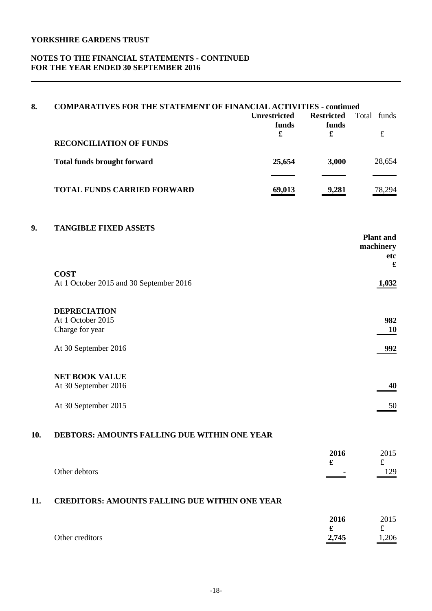### **NOTES TO THE FINANCIAL STATEMENTS - CONTINUED FOR THE YEAR ENDED 30 SEPTEMBER 2016**

| 8.  | <b>COMPARATIVES FOR THE STATEMENT OF FINANCIAL ACTIVITIES - continued</b> |                     |                               |                               |  |  |
|-----|---------------------------------------------------------------------------|---------------------|-------------------------------|-------------------------------|--|--|
|     |                                                                           | <b>Unrestricted</b> | <b>Restricted</b>             | Total funds                   |  |  |
|     |                                                                           | funds               | funds<br>$\mathbf f$          | $\pounds$                     |  |  |
|     | <b>RECONCILIATION OF FUNDS</b>                                            |                     |                               |                               |  |  |
|     | <b>Total funds brought forward</b>                                        | 25,654              | 3,000                         | 28,654                        |  |  |
|     | <b>TOTAL FUNDS CARRIED FORWARD</b>                                        | 69,013              | 9,281                         | 78,294                        |  |  |
| 9.  | <b>TANGIBLE FIXED ASSETS</b>                                              |                     |                               | <b>Plant</b> and<br>machinery |  |  |
|     | <b>COST</b><br>At 1 October 2015 and 30 September 2016                    |                     |                               | etc<br>$\mathbf f$<br>1,032   |  |  |
|     |                                                                           |                     |                               |                               |  |  |
|     | <b>DEPRECIATION</b>                                                       |                     |                               |                               |  |  |
|     | At 1 October 2015<br>Charge for year                                      |                     |                               | 982<br>10                     |  |  |
|     | At 30 September 2016                                                      |                     |                               | 992                           |  |  |
|     | <b>NET BOOK VALUE</b><br>At 30 September 2016                             |                     |                               | 40                            |  |  |
|     | At 30 September 2015                                                      |                     |                               | 50                            |  |  |
| 10. | DEBTORS: AMOUNTS FALLING DUE WITHIN ONE YEAR                              |                     |                               |                               |  |  |
|     |                                                                           |                     | 2016                          | 2015                          |  |  |
|     | Other debtors                                                             |                     | $\pmb{\mathfrak{L}}$          | $\pounds$<br>129              |  |  |
| 11. | <b>CREDITORS: AMOUNTS FALLING DUE WITHIN ONE YEAR</b>                     |                     |                               |                               |  |  |
|     |                                                                           |                     | 2016                          | 2015                          |  |  |
|     | Other creditors                                                           |                     | $\pmb{\mathfrak{L}}$<br>2,745 | $\pounds$<br>1,206            |  |  |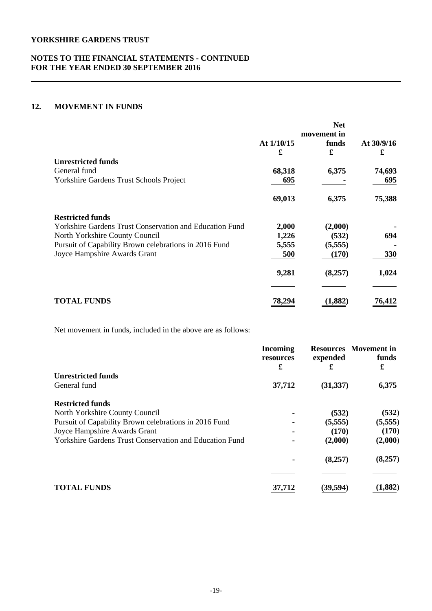### **NOTES TO THE FINANCIAL STATEMENTS - CONTINUED FOR THE YEAR ENDED 30 SEPTEMBER 2016**

### **12. MOVEMENT IN FUNDS**

|                                                                |              | <b>Net</b> |            |
|----------------------------------------------------------------|--------------|------------|------------|
|                                                                | movement in  |            |            |
|                                                                | At $1/10/15$ | funds      | At 30/9/16 |
|                                                                | £            | £          | £          |
| <b>Unrestricted funds</b>                                      |              |            |            |
| General fund                                                   | 68,318       | 6,375      | 74,693     |
| Yorkshire Gardens Trust Schools Project                        | 695          |            | 695        |
|                                                                |              |            |            |
|                                                                | 69,013       | 6,375      | 75,388     |
| <b>Restricted funds</b>                                        |              |            |            |
| <b>Yorkshire Gardens Trust Conservation and Education Fund</b> | 2,000        | (2,000)    |            |
| North Yorkshire County Council                                 | 1,226        | (532)      | 694        |
| Pursuit of Capability Brown celebrations in 2016 Fund          | 5,555        | (5,555)    |            |
| Joyce Hampshire Awards Grant                                   | 500          | (170)      | 330        |
|                                                                |              |            |            |
|                                                                | 9,281        | (8,257)    | 1,024      |
|                                                                |              |            |            |
| <b>TOTAL FUNDS</b>                                             | 78,29        | (1,882)    | 76,412     |

Net movement in funds, included in the above are as follows:

|                                                                | <b>Incoming</b><br>resources | expended  | <b>Resources</b> Movement in<br>funds<br>£ |
|----------------------------------------------------------------|------------------------------|-----------|--------------------------------------------|
| <b>Unrestricted funds</b>                                      | £                            | £         |                                            |
| General fund                                                   | 37,712                       | (31, 337) | 6,375                                      |
| <b>Restricted funds</b>                                        |                              |           |                                            |
| North Yorkshire County Council                                 |                              | (532)     | (532)                                      |
| Pursuit of Capability Brown celebrations in 2016 Fund          |                              | (5,555)   | (5,555)                                    |
| Joyce Hampshire Awards Grant                                   |                              | (170)     | (170)                                      |
| <b>Yorkshire Gardens Trust Conservation and Education Fund</b> |                              | (2,000)   | (2,000)                                    |
|                                                                |                              | (8,257)   | (8,257)                                    |
|                                                                |                              |           |                                            |
| <b>TOTAL FUNDS</b>                                             | 37.712                       | (39,594   | ,882)                                      |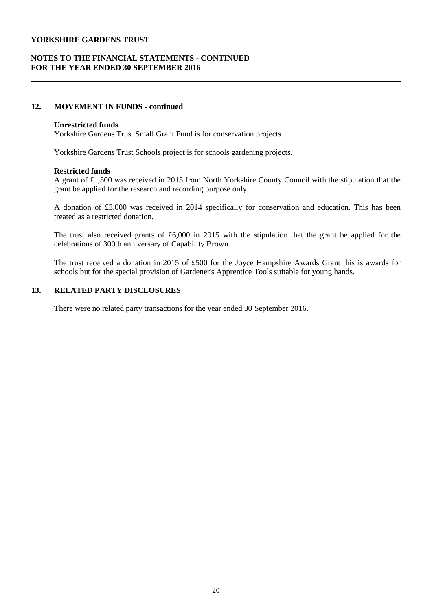### **NOTES TO THE FINANCIAL STATEMENTS - CONTINUED FOR THE YEAR ENDED 30 SEPTEMBER 2016**

### **12. MOVEMENT IN FUNDS - continued**

#### **Unrestricted funds**

Yorkshire Gardens Trust Small Grant Fund is for conservation projects.

Yorkshire Gardens Trust Schools project is for schools gardening projects.

#### **Restricted funds**

A grant of £1,500 was received in 2015 from North Yorkshire County Council with the stipulation that the grant be applied for the research and recording purpose only.

A donation of £3,000 was received in 2014 specifically for conservation and education. This has been treated as a restricted donation.

The trust also received grants of £6,000 in 2015 with the stipulation that the grant be applied for the celebrations of 300th anniversary of Capability Brown.

The trust received a donation in 2015 of £500 for the Joyce Hampshire Awards Grant this is awards for schools but for the special provision of Gardener's Apprentice Tools suitable for young hands.

### **13. RELATED PARTY DISCLOSURES**

There were no related party transactions for the year ended 30 September 2016.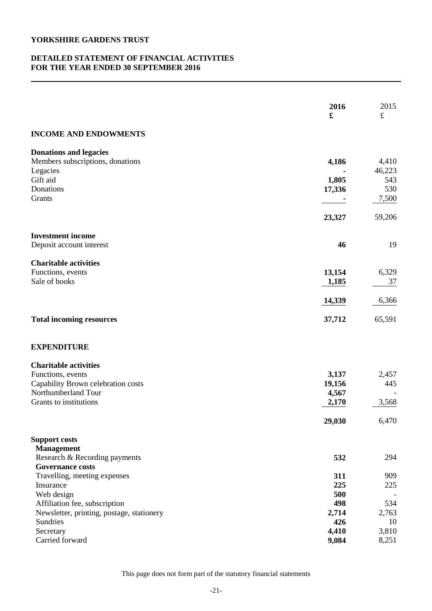### **DETAILED STATEMENT OF FINANCIAL ACTIVITIES FOR THE YEAR ENDED 30 SEPTEMBER 2016**

|                                                    | 2016<br>£      | 2015<br>$\pounds$ |
|----------------------------------------------------|----------------|-------------------|
| <b>INCOME AND ENDOWMENTS</b>                       |                |                   |
| <b>Donations and legacies</b>                      |                |                   |
| Members subscriptions, donations                   | 4,186          | 4,410             |
| Legacies<br>Gift aid                               | 1,805          | 46,223<br>543     |
| Donations                                          | 17,336         | 530               |
| Grants                                             |                | 7,500             |
|                                                    | 23,327         | 59,206            |
| <b>Investment income</b>                           |                |                   |
| Deposit account interest                           | 46             | 19                |
| <b>Charitable activities</b>                       |                |                   |
| Functions, events                                  | 13,154         | 6,329             |
| Sale of books                                      | 1,185          | 37                |
|                                                    | 14,339         | 6,366             |
| <b>Total incoming resources</b>                    | 37,712         | 65,591            |
| <b>EXPENDITURE</b>                                 |                |                   |
| <b>Charitable activities</b>                       |                |                   |
| Functions, events                                  | 3,137          | 2,457             |
| Capability Brown celebration costs                 | 19,156         | 445               |
| Northumberland Tour<br>Grants to institutions      | 4,567<br>2,170 | 3,568             |
|                                                    | 29,030         | 6,470             |
|                                                    |                |                   |
| <b>Support costs</b>                               |                |                   |
| <b>Management</b><br>Research & Recording payments | 532            | 294               |
| <b>Governance costs</b>                            |                |                   |
| Travelling, meeting expenses                       | 311            | 909               |
| Insurance                                          | 225            | 225               |
| Web design                                         | 500            |                   |
| Affiliation fee, subscription                      | 498            | 534               |
| Newsletter, printing, postage, stationery          | 2,714          | 2,763             |
| Sundries                                           | 426            | 10                |
| Secretary<br>Carried forward                       | 4,410<br>9,084 | 3,810<br>8,251    |
|                                                    |                |                   |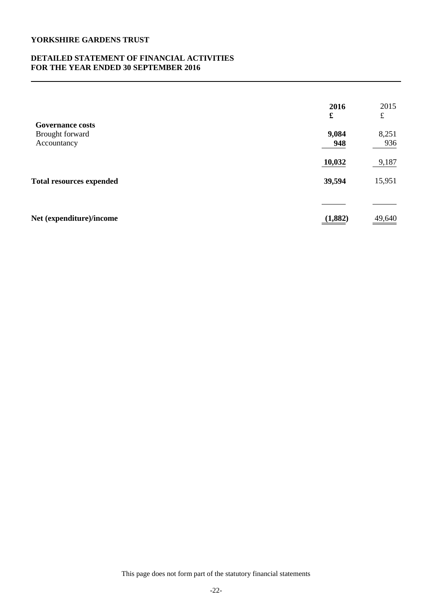### **DETAILED STATEMENT OF FINANCIAL ACTIVITIES FOR THE YEAR ENDED 30 SEPTEMBER 2016**

| 2016<br>£ | 2015<br>£ |
|-----------|-----------|
|           |           |
|           | 8,251     |
| 948       | 936       |
| 10,032    | 9,187     |
| 39,594    | 15,951    |
|           |           |
| (1,882)   | 49,640    |
|           | 9,084     |

This page does not form part of the statutory financial statements